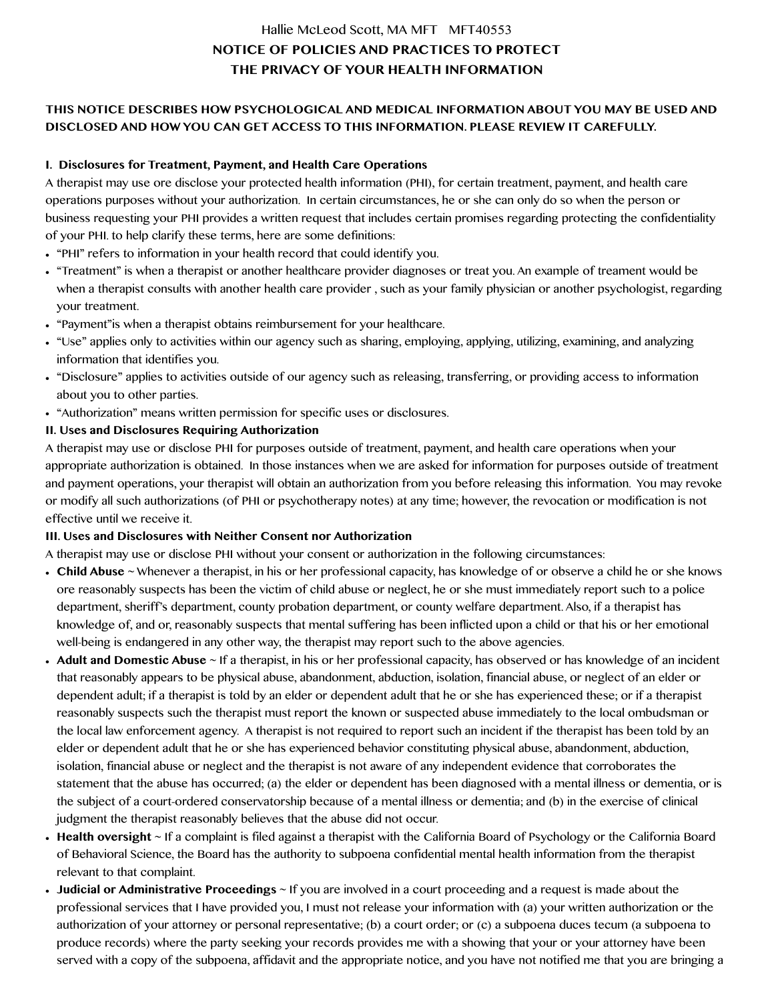# Hallie McLeod Scott, MA MFT MFT40553 **NOTICE OF POLICIES AND PRACTICES TO PROTECT THE PRIVACY OF YOUR HEALTH INFORMATION**

## **THIS NOTICE DESCRIBES HOW PSYCHOLOGICAL AND MEDICAL INFORMATION ABOUT YOU MAY BE USED AND DISCLOSED AND HOW YOU CAN GET ACCESS TO THIS INFORMATION. PLEASE REVIEW IT CAREFULLY.**

#### **I. Disclosures for Treatment, Payment, and Health Care Operations**

A therapist may use ore disclose your protected health information (PHI), for certain treatment, payment, and health care operations purposes without your authorization. In certain circumstances, he or she can only do so when the person or business requesting your PHI provides a written request that includes certain promises regarding protecting the confidentiality of your PHI. to help clarify these terms, here are some definitions:

- **•** "PHI" refers to information in your health record that could identify you.
- "Treatment" is when a therapist or another healthcare provider diagnoses or treat you. An example of treament would be when a therapist consults with another health care provider , such as your family physician or another psychologist, regarding your treatment.
- **•** "Payment"is when a therapist obtains reimbursement for your healthcare.
- **•** "Use" applies only to activities within our agency such as sharing, employing, applying, utilizing, examining, and analyzing information that identifies you.
- **•** "Disclosure" applies to activities outside of our agency such as releasing, transferring, or providing access to information about you to other parties.
- **•** "Authorization" means written permission for specific uses or disclosures.
- **II. Uses and Disclosures Requiring Authorization**

A therapist may use or disclose PHI for purposes outside of treatment, payment, and health care operations when your appropriate authorization is obtained. In those instances when we are asked for information for purposes outside of treatment and payment operations, your therapist will obtain an authorization from you before releasing this information. You may revoke or modify all such authorizations (of PHI or psychotherapy notes) at any time; however, the revocation or modification is not effective until we receive it.

#### **III. Uses and Disclosures with Neither Consent nor Authorization**

A therapist may use or disclose PHI without your consent or authorization in the following circumstances:

- **• Child Abuse** ~ Whenever a therapist, in his or her professional capacity, has knowledge of or observe a child he or she knows ore reasonably suspects has been the victim of child abuse or neglect, he or she must immediately report such to a police department, sheriff's department, county probation department, or county welfare department. Also, if a therapist has knowledge of, and or, reasonably suspects that mental suffering has been inflicted upon a child or that his or her emotional well-being is endangered in any other way, the therapist may report such to the above agencies.
- **• Adult and Domestic Abuse** ~ If a therapist, in his or her professional capacity, has observed or has knowledge of an incident that reasonably appears to be physical abuse, abandonment, abduction, isolation, financial abuse, or neglect of an elder or dependent adult; if a therapist is told by an elder or dependent adult that he or she has experienced these; or if a therapist reasonably suspects such the therapist must report the known or suspected abuse immediately to the local ombudsman or the local law enforcement agency. A therapist is not required to report such an incident if the therapist has been told by an elder or dependent adult that he or she has experienced behavior constituting physical abuse, abandonment, abduction, isolation, financial abuse or neglect and the therapist is not aware of any independent evidence that corroborates the statement that the abuse has occurred; (a) the elder or dependent has been diagnosed with a mental illness or dementia, or is the subject of a court-ordered conservatorship because of a mental illness or dementia; and (b) in the exercise of clinical judgment the therapist reasonably believes that the abuse did not occur.
- **• Health oversight** ~ If a complaint is filed against a therapist with the California Board of Psychology or the California Board of Behavioral Science, the Board has the authority to subpoena confidential mental health information from the therapist relevant to that complaint.
- **• Judicial or Administrative Proceedings** ~ If you are involved in a court proceeding and a request is made about the professional services that I have provided you, I must not release your information with (a) your written authorization or the authorization of your attorney or personal representative; (b) a court order; or (c) a subpoena duces tecum (a subpoena to produce records) where the party seeking your records provides me with a showing that your or your attorney have been served with a copy of the subpoena, affidavit and the appropriate notice, and you have not notified me that you are bringing a